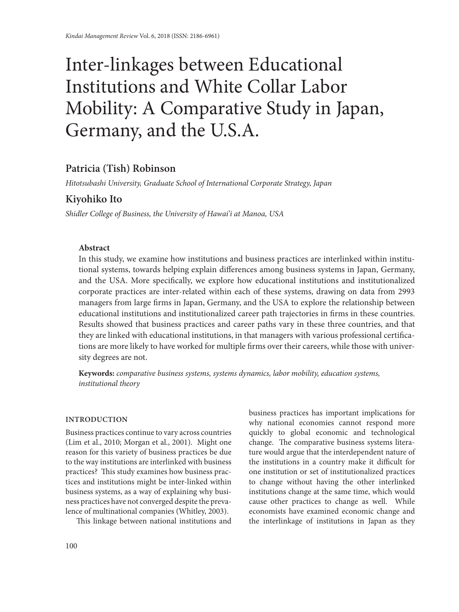# Inter-linkages between Educational Institutions and White Collar Labor Mobility: A Comparative Study in Japan, Germany, and the U.S.A.

# **Patricia (Tish) Robinson**

*Hitotsubashi University, Graduate School of International Corporate Strategy, Japan*

# **Kiyohiko Ito**

*Shidler College of Business, the University of Hawai'i at Manoa, USA*

#### **Abstract**

In this study, we examine how institutions and business practices are interlinked within institutional systems, towards helping explain differences among business systems in Japan, Germany, and the USA. More specifically, we explore how educational institutions and institutionalized corporate practices are inter-related within each of these systems, drawing on data from 2993 managers from large firms in Japan, Germany, and the USA to explore the relationship between educational institutions and institutionalized career path trajectories in firms in these countries. Results showed that business practices and career paths vary in these three countries, and that they are linked with educational institutions, in that managers with various professional certifications are more likely to have worked for multiple firms over their careers, while those with university degrees are not.

**Keywords:** *comparative business systems, systems dynamics, labor mobility, education systems, institutional theory*

#### **INTRODUCTION**

Business practices continue to vary across countries (Lim et al., 2010; Morgan et al., 2001). Might one reason for this variety of business practices be due to the way institutions are interlinked with business practices? This study examines how business practices and institutions might be inter-linked within business systems, as a way of explaining why business practices have not converged despite the prevalence of multinational companies (Whitley, 2003).

This linkage between national institutions and

business practices has important implications for why national economies cannot respond more quickly to global economic and technological change. The comparative business systems literature would argue that the interdependent nature of the institutions in a country make it difficult for one institution or set of institutionalized practices to change without having the other interlinked institutions change at the same time, which would cause other practices to change as well. While economists have examined economic change and the interlinkage of institutions in Japan as they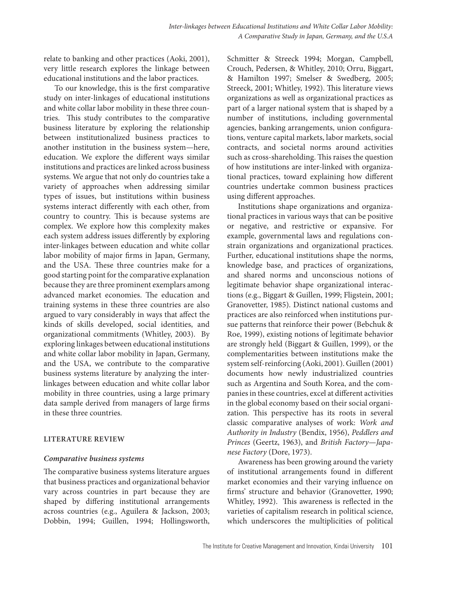relate to banking and other practices (Aoki, 2001), very little research explores the linkage between educational institutions and the labor practices.

To our knowledge, this is the first comparative study on inter-linkages of educational institutions and white collar labor mobility in these three countries. This study contributes to the comparative business literature by exploring the relationship between institutionalized business practices to another institution in the business system—here, education. We explore the different ways similar institutions and practices are linked across business systems. We argue that not only do countries take a variety of approaches when addressing similar types of issues, but institutions within business systems interact differently with each other, from country to country. This is because systems are complex. We explore how this complexity makes each system address issues differently by exploring inter-linkages between education and white collar labor mobility of major firms in Japan, Germany, and the USA. These three countries make for a good starting point for the comparative explanation because they are three prominent exemplars among advanced market economies. The education and training systems in these three countries are also argued to vary considerably in ways that affect the kinds of skills developed, social identities, and organizational commitments (Whitley, 2003). By exploring linkages between educational institutions and white collar labor mobility in Japan, Germany, and the USA, we contribute to the comparative business systems literature by analyzing the interlinkages between education and white collar labor mobility in three countries, using a large primary data sample derived from managers of large firms in these three countries.

#### **LITERATURE REVIEW**

#### *Comparative business systems*

The comparative business systems literature argues that business practices and organizational behavior vary across countries in part because they are shaped by differing institutional arrangements across countries (e.g., Aguilera & Jackson, 2003; Dobbin, 1994; Guillen, 1994; Hollingsworth,

Schmitter & Streeck 1994; Morgan, Campbell, Crouch, Pedersen, & Whitley, 2010; Orru, Biggart, & Hamilton 1997; Smelser & Swedberg, 2005; Streeck, 2001; Whitley, 1992). This literature views organizations as well as organizational practices as part of a larger national system that is shaped by a number of institutions, including governmental agencies, banking arrangements, union configurations, venture capital markets, labor markets, social contracts, and societal norms around activities such as cross-shareholding. This raises the question of how institutions are inter-linked with organizational practices, toward explaining how different countries undertake common business practices using different approaches.

Institutions shape organizations and organizational practices in various ways that can be positive or negative, and restrictive or expansive. For example, governmental laws and regulations constrain organizations and organizational practices. Further, educational institutions shape the norms, knowledge base, and practices of organizations, and shared norms and unconscious notions of legitimate behavior shape organizational interactions (e.g., Biggart & Guillen, 1999; Fligstein, 2001; Granovetter, 1985). Distinct national customs and practices are also reinforced when institutions pursue patterns that reinforce their power (Bebchuk & Roe, 1999), existing notions of legitimate behavior are strongly held (Biggart & Guillen, 1999), or the complementarities between institutions make the system self-reinforcing (Aoki, 2001). Guillen (2001) documents how newly industrialized countries such as Argentina and South Korea, and the companies in these countries, excel at different activities in the global economy based on their social organization. This perspective has its roots in several classic comparative analyses of work: *Work and Authority in Industry* (Bendix, 1956), *Peddlers and Princes* (Geertz, 1963), and *British Factory—Japanese Factory* (Dore, 1973).

Awareness has been growing around the variety of institutional arrangements found in different market economies and their varying influence on firms' structure and behavior (Granovetter, 1990; Whitley, 1992). This awareness is reflected in the varieties of capitalism research in political science, which underscores the multiplicities of political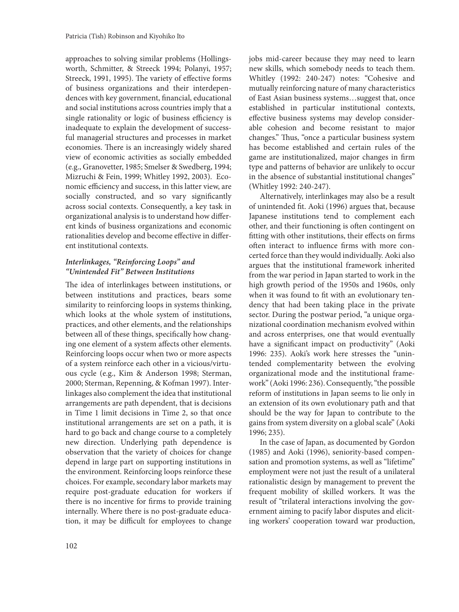approaches to solving similar problems (Hollingsworth, Schmitter, & Streeck 1994; Polanyi, 1957; Streeck, 1991, 1995). The variety of effective forms of business organizations and their interdependences with key government, financial, educational and social institutions across countries imply that a single rationality or logic of business efficiency is inadequate to explain the development of successful managerial structures and processes in market economies. There is an increasingly widely shared view of economic activities as socially embedded (e.g., Granovetter, 1985; Smelser & Swedberg, 1994; Mizruchi & Fein, 1999; Whitley 1992, 2003). Economic efficiency and success, in this latter view, are socially constructed, and so vary significantly across social contexts. Consequently, a key task in organizational analysis is to understand how different kinds of business organizations and economic rationalities develop and become effective in different institutional contexts.

# *Interlinkages, "Reinforcing Loops" and "Unintended Fit" Between Institutions*

The idea of interlinkages between institutions, or between institutions and practices, bears some similarity to reinforcing loops in systems thinking, which looks at the whole system of institutions, practices, and other elements, and the relationships between all of these things, specifically how changing one element of a system affects other elements. Reinforcing loops occur when two or more aspects of a system reinforce each other in a vicious/virtuous cycle (e.g., Kim & Anderson 1998; Sterman, 2000; Sterman, Repenning, & Kofman 1997). Interlinkages also complement the idea that institutional arrangements are path dependent, that is decisions in Time 1 limit decisions in Time 2, so that once institutional arrangements are set on a path, it is hard to go back and change course to a completely new direction. Underlying path dependence is observation that the variety of choices for change depend in large part on supporting institutions in the environment. Reinforcing loops reinforce these choices. For example, secondary labor markets may require post-graduate education for workers if there is no incentive for firms to provide training internally. Where there is no post-graduate education, it may be difficult for employees to change

jobs mid-career because they may need to learn new skills, which somebody needs to teach them. Whitley (1992: 240-247) notes: "Cohesive and mutually reinforcing nature of many characteristics of East Asian business systems…suggest that, once established in particular institutional contexts, effective business systems may develop considerable cohesion and become resistant to major changes." Thus, "once a particular business system has become established and certain rules of the game are institutionalized, major changes in firm type and patterns of behavior are unlikely to occur in the absence of substantial institutional changes" (Whitley 1992: 240-247).

Alternatively, interlinkages may also be a result of unintended fit. Aoki (1996) argues that, because Japanese institutions tend to complement each other, and their functioning is often contingent on fitting with other institutions, their effects on firms often interact to influence firms with more concerted force than they would individually. Aoki also argues that the institutional framework inherited from the war period in Japan started to work in the high growth period of the 1950s and 1960s, only when it was found to fit with an evolutionary tendency that had been taking place in the private sector. During the postwar period, "a unique organizational coordination mechanism evolved within and across enterprises, one that would eventually have a significant impact on productivity" (Aoki 1996: 235). Aoki's work here stresses the "unintended complementarity between the evolving organizational mode and the institutional framework" (Aoki 1996: 236). Consequently, "the possible reform of institutions in Japan seems to lie only in an extension of its own evolutionary path and that should be the way for Japan to contribute to the gains from system diversity on a global scale" (Aoki 1996; 235).

In the case of Japan, as documented by Gordon (1985) and Aoki (1996), seniority-based compensation and promotion systems, as well as "lifetime" employment were not just the result of a unilateral rationalistic design by management to prevent the frequent mobility of skilled workers. It was the result of "trilateral interactions involving the government aiming to pacify labor disputes and eliciting workers' cooperation toward war production,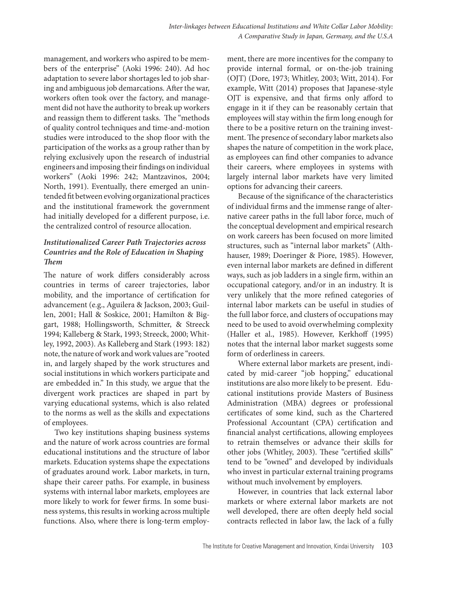management, and workers who aspired to be members of the enterprise" (Aoki 1996: 240). Ad hoc adaptation to severe labor shortages led to job sharing and ambiguous job demarcations. After the war, workers often took over the factory, and management did not have the authority to break up workers and reassign them to different tasks. The "methods of quality control techniques and time-and-motion studies were introduced to the shop floor with the participation of the works as a group rather than by relying exclusively upon the research of industrial engineers and imposing their findings on individual workers" (Aoki 1996: 242; Mantzavinos, 2004; North, 1991). Eventually, there emerged an unintended fit between evolving organizational practices and the institutional framework the government had initially developed for a different purpose, i.e. the centralized control of resource allocation.

# *Institutionalized Career Path Trajectories across Countries and the Role of Education in Shaping Them*

The nature of work differs considerably across countries in terms of career trajectories, labor mobility, and the importance of certification for advancement (e.g., Aguilera & Jackson, 2003; Guillen, 2001; Hall & Soskice, 2001; Hamilton & Biggart, 1988; Hollingsworth, Schmitter, & Streeck 1994; Kalleberg & Stark, 1993; Streeck, 2000; Whitley, 1992, 2003). As Kalleberg and Stark (1993: 182) note, the nature of work and work values are "rooted in, and largely shaped by the work structures and social institutions in which workers participate and are embedded in." In this study, we argue that the divergent work practices are shaped in part by varying educational systems, which is also related to the norms as well as the skills and expectations of employees.

Two key institutions shaping business systems and the nature of work across countries are formal educational institutions and the structure of labor markets. Education systems shape the expectations of graduates around work. Labor markets, in turn, shape their career paths. For example, in business systems with internal labor markets, employees are more likely to work for fewer firms. In some business systems, this results in working across multiple functions. Also, where there is long-term employment, there are more incentives for the company to provide internal formal, or on-the-job training (OJT) (Dore, 1973; Whitley, 2003; Witt, 2014). For example, Witt (2014) proposes that Japanese-style OJT is expensive, and that firms only afford to engage in it if they can be reasonably certain that employees will stay within the firm long enough for there to be a positive return on the training investment. The presence of secondary labor markets also shapes the nature of competition in the work place, as employees can find other companies to advance their careers, where employees in systems with largely internal labor markets have very limited options for advancing their careers.

Because of the significance of the characteristics of individual firms and the immense range of alternative career paths in the full labor force, much of the conceptual development and empirical research on work careers has been focused on more limited structures, such as "internal labor markets" (Althhauser, 1989; Doeringer & Piore, 1985). However, even internal labor markets are defined in different ways, such as job ladders in a single firm, within an occupational category, and/or in an industry. It is very unlikely that the more refined categories of internal labor markets can be useful in studies of the full labor force, and clusters of occupations may need to be used to avoid overwhelming complexity (Haller et al., 1985). However, Kerkhoff (1995) notes that the internal labor market suggests some form of orderliness in careers.

Where external labor markets are present, indicated by mid-career "job hopping," educational institutions are also more likely to be present. Educational institutions provide Masters of Business Administration (MBA) degrees or professional certificates of some kind, such as the Chartered Professional Accountant (CPA) certification and financial analyst certifications, allowing employees to retrain themselves or advance their skills for other jobs (Whitley, 2003). These "certified skills" tend to be "owned" and developed by individuals who invest in particular external training programs without much involvement by employers.

However, in countries that lack external labor markets or where external labor markets are not well developed, there are often deeply held social contracts reflected in labor law, the lack of a fully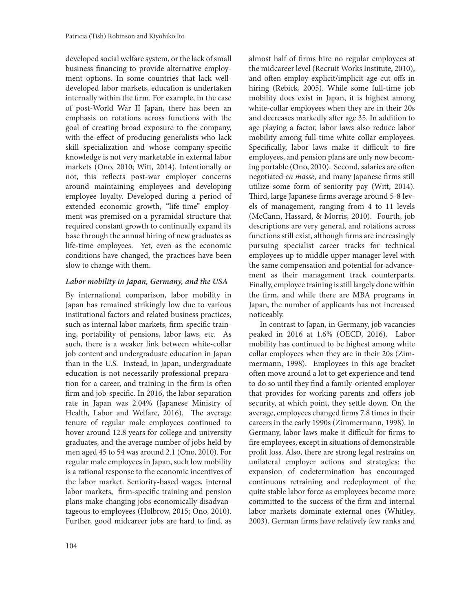developed social welfare system, or the lack of small business financing to provide alternative employment options. In some countries that lack welldeveloped labor markets, education is undertaken internally within the firm. For example, in the case of post-World War II Japan, there has been an emphasis on rotations across functions with the goal of creating broad exposure to the company, with the effect of producing generalists who lack skill specialization and whose company-specific knowledge is not very marketable in external labor markets (Ono, 2010; Witt, 2014). Intentionally or not, this reflects post-war employer concerns around maintaining employees and developing employee loyalty. Developed during a period of extended economic growth, "life-time" employment was premised on a pyramidal structure that required constant growth to continually expand its base through the annual hiring of new graduates as life-time employees. Yet, even as the economic conditions have changed, the practices have been slow to change with them.

#### *Labor mobility in Japan, Germany, and the USA*

By international comparison, labor mobility in Japan has remained strikingly low due to various institutional factors and related business practices, such as internal labor markets, firm-specific training, portability of pensions, labor laws, etc. As such, there is a weaker link between white-collar job content and undergraduate education in Japan than in the U.S. Instead, in Japan, undergraduate education is not necessarily professional preparation for a career, and training in the firm is often firm and job-specific. In 2016, the labor separation rate in Japan was 2.04% (Japanese Ministry of Health, Labor and Welfare, 2016). The average tenure of regular male employees continued to hover around 12.8 years for college and university graduates, and the average number of jobs held by men aged 45 to 54 was around 2.1 (Ono, 2010). For regular male employees in Japan, such low mobility is a rational response to the economic incentives of the labor market. Seniority-based wages, internal labor markets, firm-specific training and pension plans make changing jobs economically disadvantageous to employees (Holbrow, 2015; Ono, 2010). Further, good midcareer jobs are hard to find, as

almost half of firms hire no regular employees at the midcareer level (Recruit Works Institute, 2010), and often employ explicit/implicit age cut-offs in hiring (Rebick, 2005). While some full-time job mobility does exist in Japan, it is highest among white-collar employees when they are in their 20s and decreases markedly after age 35. In addition to age playing a factor, labor laws also reduce labor mobility among full-time white-collar employees. Specifically, labor laws make it difficult to fire employees, and pension plans are only now becoming portable (Ono, 2010). Second, salaries are often negotiated *en masse*, and many Japanese firms still utilize some form of seniority pay (Witt, 2014). Third, large Japanese firms average around 5-8 levels of management, ranging from 4 to 11 levels (McCann, Hassard, & Morris, 2010). Fourth, job descriptions are very general, and rotations across functions still exist, although firms are increasingly pursuing specialist career tracks for technical employees up to middle upper manager level with the same compensation and potential for advancement as their management track counterparts. Finally, employee training is still largely done within the firm, and while there are MBA programs in Japan, the number of applicants has not increased noticeably.

In contrast to Japan, in Germany, job vacancies peaked in 2016 at 1.6% (OECD, 2016). Labor mobility has continued to be highest among white collar employees when they are in their 20s (Zimmermann, 1998). Employees in this age bracket often move around a lot to get experience and tend to do so until they find a family-oriented employer that provides for working parents and offers job security, at which point, they settle down. On the average, employees changed firms 7.8 times in their careers in the early 1990s (Zimmermann, 1998). In Germany, labor laws make it difficult for firms to fire employees, except in situations of demonstrable profit loss. Also, there are strong legal restrains on unilateral employer actions and strategies: the expansion of codetermination has encouraged continuous retraining and redeployment of the quite stable labor force as employees become more committed to the success of the firm and internal labor markets dominate external ones (Whitley, 2003). German firms have relatively few ranks and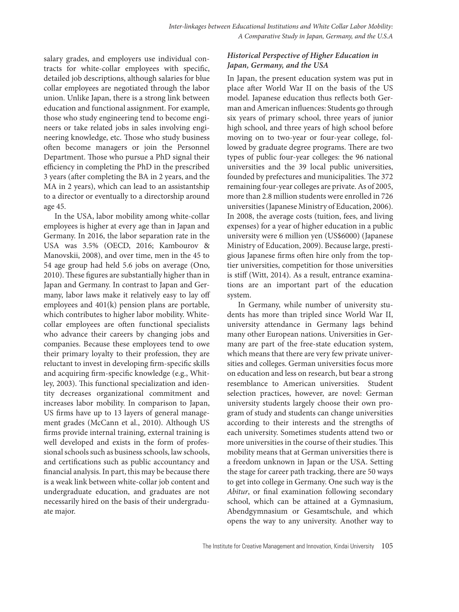salary grades, and employers use individual contracts for white-collar employees with specific, detailed job descriptions, although salaries for blue collar employees are negotiated through the labor union. Unlike Japan, there is a strong link between education and functional assignment. For example, those who study engineering tend to become engineers or take related jobs in sales involving engineering knowledge, etc. Those who study business often become managers or join the Personnel Department. Those who pursue a PhD signal their efficiency in completing the PhD in the prescribed 3 years (after completing the BA in 2 years, and the MA in 2 years), which can lead to an assistantship to a director or eventually to a directorship around age 45.

In the USA, labor mobility among white-collar employees is higher at every age than in Japan and Germany. In 2016, the labor separation rate in the USA was 3.5% (OECD, 2016; Kambourov & Manovskii, 2008), and over time, men in the 45 to 54 age group had held 5.6 jobs on average (Ono, 2010). These figures are substantially higher than in Japan and Germany. In contrast to Japan and Germany, labor laws make it relatively easy to lay off employees and 401(k) pension plans are portable, which contributes to higher labor mobility. Whitecollar employees are often functional specialists who advance their careers by changing jobs and companies. Because these employees tend to owe their primary loyalty to their profession, they are reluctant to invest in developing firm-specific skills and acquiring firm-specific knowledge (e.g., Whitley, 2003). This functional specialization and identity decreases organizational commitment and increases labor mobility. In comparison to Japan, US firms have up to 13 layers of general management grades (McCann et al., 2010). Although US firms provide internal training, external training is well developed and exists in the form of professional schools such as business schools, law schools, and certifications such as public accountancy and financial analysis. In part, this may be because there is a weak link between white-collar job content and undergraduate education, and graduates are not necessarily hired on the basis of their undergraduate major.

# *Historical Perspective of Higher Education in Japan, Germany, and the USA*

In Japan, the present education system was put in place after World War II on the basis of the US model. Japanese education thus reflects both German and American influences: Students go through six years of primary school, three years of junior high school, and three years of high school before moving on to two-year or four-year college, followed by graduate degree programs. There are two types of public four-year colleges: the 96 national universities and the 39 local public universities, founded by prefectures and municipalities. The 372 remaining four-year colleges are private. As of 2005, more than 2.8 million students were enrolled in 726 universities (Japanese Ministry of Education, 2006). In 2008, the average costs (tuition, fees, and living expenses) for a year of higher education in a public university were 6 million yen (US\$6000) (Japanese Ministry of Education, 2009). Because large, prestigious Japanese firms often hire only from the toptier universities, competition for those universities is stiff (Witt, 2014). As a result, entrance examinations are an important part of the education system.

In Germany, while number of university students has more than tripled since World War II, university attendance in Germany lags behind many other European nations. Universities in Germany are part of the free-state education system, which means that there are very few private universities and colleges. German universities focus more on education and less on research, but bear a strong resemblance to American universities. Student selection practices, however, are novel: German university students largely choose their own program of study and students can change universities according to their interests and the strengths of each university. Sometimes students attend two or more universities in the course of their studies. This mobility means that at German universities there is a freedom unknown in Japan or the USA. Setting the stage for career path tracking, there are 50 ways to get into college in Germany. One such way is the *Abitur*, or final examination following secondary school, which can be attained at a Gymnasium, Abendgymnasium or Gesamtschule, and which opens the way to any university. Another way to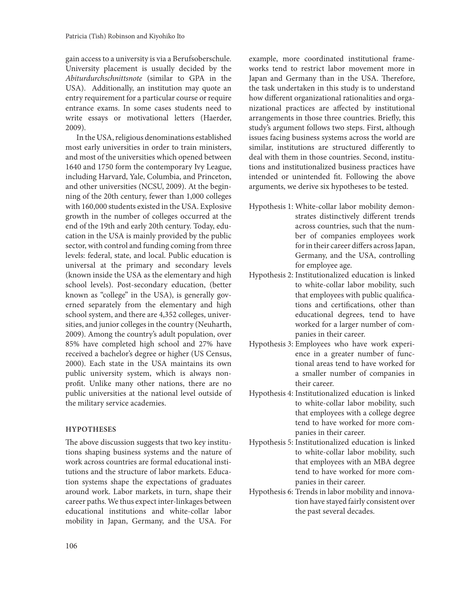gain access to a university is via a Berufsoberschule. University placement is usually decided by the *Abiturdurchschnittsnote* (similar to GPA in the USA). Additionally, an institution may quote an entry requirement for a particular course or require entrance exams. In some cases students need to write essays or motivational letters (Haerder, 2009).

In the USA, religious denominations established most early universities in order to train ministers, and most of the universities which opened between 1640 and 1750 form the contemporary Ivy League, including Harvard, Yale, Columbia, and Princeton, and other universities (NCSU, 2009). At the beginning of the 20th century, fewer than 1,000 colleges with 160,000 students existed in the USA. Explosive growth in the number of colleges occurred at the end of the 19th and early 20th century. Today, education in the USA is mainly provided by the public sector, with control and funding coming from three levels: federal, state, and local. Public education is universal at the primary and secondary levels (known inside the USA as the elementary and high school levels). Post-secondary education, (better known as "college" in the USA), is generally governed separately from the elementary and high school system, and there are 4,352 colleges, universities, and junior colleges in the country (Neuharth, 2009). Among the country's adult population, over 85% have completed high school and 27% have received a bachelor's degree or higher (US Census, 2000). Each state in the USA maintains its own public university system, which is always nonprofit. Unlike many other nations, there are no public universities at the national level outside of the military service academies.

#### **HYPOTHESES**

The above discussion suggests that two key institutions shaping business systems and the nature of work across countries are formal educational institutions and the structure of labor markets. Education systems shape the expectations of graduates around work. Labor markets, in turn, shape their career paths. We thus expect inter-linkages between educational institutions and white-collar labor mobility in Japan, Germany, and the USA. For example, more coordinated institutional frameworks tend to restrict labor movement more in Japan and Germany than in the USA. Therefore, the task undertaken in this study is to understand how different organizational rationalities and organizational practices are affected by institutional arrangements in those three countries. Briefly, this study's argument follows two steps. First, although issues facing business systems across the world are similar, institutions are structured differently to deal with them in those countries. Second, institutions and institutionalized business practices have intended or unintended fit. Following the above arguments, we derive six hypotheses to be tested.

- Hypothesis 1: White-collar labor mobility demonstrates distinctively different trends across countries, such that the number of companies employees work for in their career differs across Japan, Germany, and the USA, controlling for employee age.
- Hypothesis 2: Institutionalized education is linked to white-collar labor mobility, such that employees with public qualifications and certifications, other than educational degrees, tend to have worked for a larger number of companies in their career.
- Hypothesis 3: Employees who have work experience in a greater number of functional areas tend to have worked for a smaller number of companies in their career.
- Hypothesis 4: Institutionalized education is linked to white-collar labor mobility, such that employees with a college degree tend to have worked for more companies in their career.
- Hypothesis 5: Institutionalized education is linked to white-collar labor mobility, such that employees with an MBA degree tend to have worked for more companies in their career.
- Hypothesis 6: Trends in labor mobility and innovation have stayed fairly consistent over the past several decades.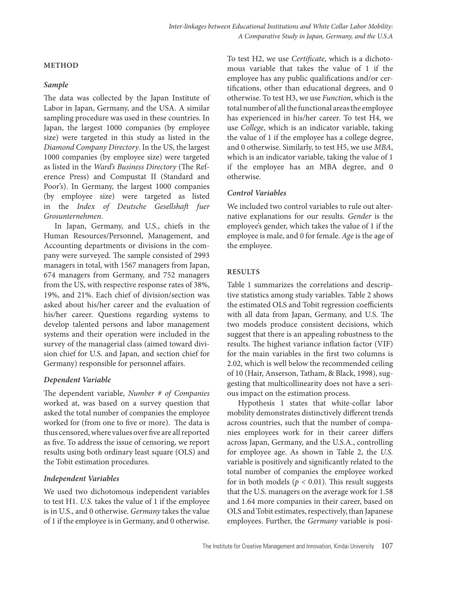#### **METHOD**

#### *Sample*

The data was collected by the Japan Institute of Labor in Japan, Germany, and the USA. A similar sampling procedure was used in these countries. In Japan, the largest 1000 companies (by employee size) were targeted in this study as listed in the *Diamond Company Directory*. In the US, the largest 1000 companies (by employee size) were targeted as listed in the *Ward's Business Directory* (The Reference Press) and Compustat II (Standard and Poor's). In Germany, the largest 1000 companies (by employee size) were targeted as listed in the *Index of Deutsche Gesellshaft fuer Grosunternehmen*.

In Japan, Germany, and U.S., chiefs in the Human Resources/Personnel, Management, and Accounting departments or divisions in the company were surveyed. The sample consisted of 2993 managers in total, with 1567 managers from Japan, 674 managers from Germany, and 752 managers from the US, with respective response rates of 38%, 19%, and 21%. Each chief of division/section was asked about his/her career and the evaluation of his/her career. Questions regarding systems to develop talented persons and labor management systems and their operation were included in the survey of the managerial class (aimed toward division chief for U.S. and Japan, and section chief for Germany) responsible for personnel affairs.

# *Dependent Variable*

The dependent variable, *Number # of Companies* worked at, was based on a survey question that asked the total number of companies the employee worked for (from one to five or more). The data is thus censored, where values over five are all reported as five. To address the issue of censoring, we report results using both ordinary least square (OLS) and the Tobit estimation procedures.

# *Independent Variables*

We used two dichotomous independent variables to test H1. *U.S.* takes the value of 1 if the employee is in U.S., and 0 otherwise. *Germany* takes the value of 1 if the employee is in Germany, and 0 otherwise. To test H2, we use *Certificate*, which is a dichotomous variable that takes the value of 1 if the employee has any public qualifications and/or certifications, other than educational degrees, and 0 otherwise. To test H3, we use *Function*, which is the total number of all the functional areas the employee has experienced in his/her career. To test H4, we use *College*, which is an indicator variable, taking the value of 1 if the employee has a college degree, and 0 otherwise. Similarly, to test H5, we use *MBA*, which is an indicator variable, taking the value of 1 if the employee has an MBA degree, and 0 otherwise.

# *Control Variables*

We included two control variables to rule out alternative explanations for our results. *Gender* is the employee's gender, which takes the value of 1 if the employee is male, and 0 for female. *Age* is the age of the employee.

# **RESULTS**

Table 1 summarizes the correlations and descriptive statistics among study variables. Table 2 shows the estimated OLS and Tobit regression coefficients with all data from Japan, Germany, and U.S. The two models produce consistent decisions, which suggest that there is an appealing robustness to the results. The highest variance inflation factor (VIF) for the main variables in the first two columns is 2.02, which is well below the recommended ceiling of 10 (Hair, Anserson, Tatham, & Black, 1998), suggesting that multicollinearity does not have a serious impact on the estimation process.

Hypothesis 1 states that white-collar labor mobility demonstrates distinctively different trends across countries, such that the number of companies employees work for in their career differs across Japan, Germany, and the U.S.A., controlling for employee age. As shown in Table 2, the *U.S.*  variable is positively and significantly related to the total number of companies the employee worked for in both models ( $p < 0.01$ ). This result suggests that the U.S. managers on the average work for 1.58 and 1.64 more companies in their career, based on OLS and Tobit estimates, respectively, than Japanese employees. Further, the *Germany* variable is posi-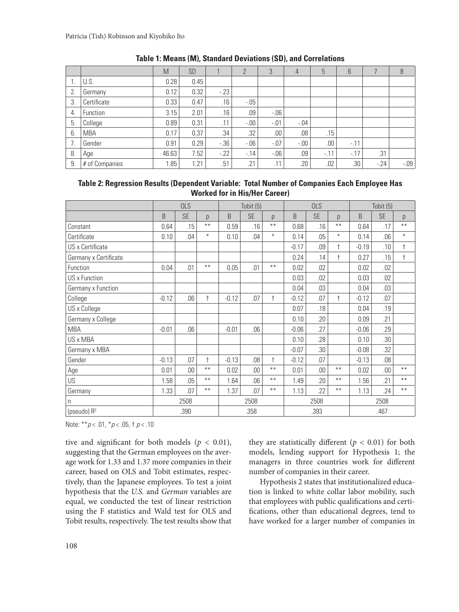|    |                | M     | <b>SD</b> |         | $\overline{2}$ | 3      | 4       | 5      | $6\overline{6}$ |       | 8       |
|----|----------------|-------|-----------|---------|----------------|--------|---------|--------|-----------------|-------|---------|
|    | U.S.           | 0.28  | 0.45      |         |                |        |         |        |                 |       |         |
| 2. | Germany        | 0.12  | 0.32      | $-23$   |                |        |         |        |                 |       |         |
| 3. | Certificate    | 0.33  | 0.47      | .16     | $-0.05$        |        |         |        |                 |       |         |
| 4. | Function       | 3.15  | 2.01      | .16     | .09            | $-06$  |         |        |                 |       |         |
| 5. | College        | 0.89  | 0.31      | .11     | $-0.00$        | $-.01$ | $-0.04$ |        |                 |       |         |
| 6. | <b>MBA</b>     | 0.17  | 0.37      | .34     | .32            | .00.   | .08     | .15    |                 |       |         |
|    | Gender         | 0.91  | 0.29      | $-0.36$ | $-06$          | $-.07$ | $-0.00$ | .00    | $-11$           |       |         |
| 8. | Age            | 46.63 | 7.52      | $-22$   | $-14$          | $-06$  | .09     | $-.11$ | $-17$           | .31   |         |
| 9. | # of Companies | 1.85  | .21       | .51     | .21            | .11    | .20     | .02    | .30             | $-24$ | $-0.09$ |

| <b>Table 1: Means (M), Standard Deviations (SD), and Correlations</b> |  |  |  |
|-----------------------------------------------------------------------|--|--|--|
|-----------------------------------------------------------------------|--|--|--|

| Table 2: Regression Results (Dependent Variable: Total Number of Companies Each Employee Has |  |
|----------------------------------------------------------------------------------------------|--|
| <b>Worked for in His/Her Career)</b>                                                         |  |

|                         | <b>OLS</b> |           |            | Tobit (5) |           |            | <b>OLS</b> |           |            | Tobit (5) |           |            |
|-------------------------|------------|-----------|------------|-----------|-----------|------------|------------|-----------|------------|-----------|-----------|------------|
|                         | B          | <b>SE</b> | p          | B         | <b>SE</b> | p          | B          | <b>SE</b> | p          | B         | <b>SE</b> | p          |
| Constant                | 0.64       | .15       | $***$      | 0.59      | .16       | $***$      | 0.68       | .16       | $***$      | 0.64      | .17       | $***$      |
| Certificate             | 0.10       | .04       | $\ast$     | 0.10      | .04       | $\ast$     | 0.14       | .05       | $\ast$     | 0.14      | .06       | $\ast$     |
| US x Certificate        |            |           |            |           |           |            | $-0.17$    | .09       | $\ddagger$ | $-0.19$   | .10       | $\ddagger$ |
| Germany x Certificate   |            |           |            |           |           |            | 0.24       | .14       | $\ddagger$ | 0.27      | .15       | $\ddagger$ |
| Function                | 0.04       | .01       | $***$      | 0.05      | .01       | $***$      | 0.02       | .02       |            | 0.02      | .02       |            |
| US x Function           |            |           |            |           |           |            | 0.03       | .02       |            | 0.03      | .02       |            |
| Germany x Function      |            |           |            |           |           |            | 0.04       | .03       |            | 0.04      | .03       |            |
| College                 | $-0.12$    | .06       | $\ddagger$ | $-0.12$   | .07       | $\ddagger$ | $-0.12$    | .07       | $\ddagger$ | $-0.12$   | .07       |            |
| US x College            |            |           |            |           |           |            | 0.07       | .18       |            | 0.04      | .19       |            |
| Germany x College       |            |           |            |           |           |            | 0.10       | .20       |            | 0.09      | .21       |            |
| <b>MBA</b>              | $-0.01$    | .06       |            | $-0.01$   | .06       |            | $-0.06$    | .27       |            | $-0.06$   | .29       |            |
| US x MBA                |            |           |            |           |           |            | 0.10       | .28       |            | 0.10      | .30       |            |
| Germany x MBA           |            |           |            |           |           |            | $-0.07$    | .30       |            | $-0.08$   | .32       |            |
| Gender                  | $-0.13$    | .07       | $\ddagger$ | $-0.13$   | .08       | $\ddagger$ | $-0.12$    | .07       |            | $-0.13$   | .08       |            |
| Age                     | 0.01       | .00       | $***$      | 0.02      | .00       | $***$      | 0.01       | .00       | $***$      | 0.02      | .00       | $***$      |
| US                      | 1.58       | .05       | $***$      | 1.64      | .06       | $***$      | 1.49       | .20       | $***$      | 1.56      | .21       | $***$      |
| Germany                 | 1.33       | .07       | $***$      | 1.37      | .07       | $***$      | 1.13       | 22        | $***$      | 1.13      | .24       | $***$      |
| n                       | 2508       |           | 2508       |           |           | 2508       |            |           | 2508       |           |           |            |
| (pseudo) R <sup>2</sup> | .390       |           | .358       |           |           | .393       |            |           | .467       |           |           |            |

Note: \*\**p* < .01, \**p* < .05, † *p* < .10

tive and significant for both models ( $p < 0.01$ ), suggesting that the German employees on the average work for 1.33 and 1.37 more companies in their career, based on OLS and Tobit estimates, respectively, than the Japanese employees. To test a joint hypothesis that the *U.S.* and *German* variables are equal, we conducted the test of linear restriction using the F statistics and Wald test for OLS and Tobit results, respectively. The test results show that

they are statistically different ( $p < 0.01$ ) for both models, lending support for Hypothesis 1; the managers in three countries work for different number of companies in their career.

Hypothesis 2 states that institutionalized education is linked to white collar labor mobility, such that employees with public qualifications and certifications, other than educational degrees, tend to have worked for a larger number of companies in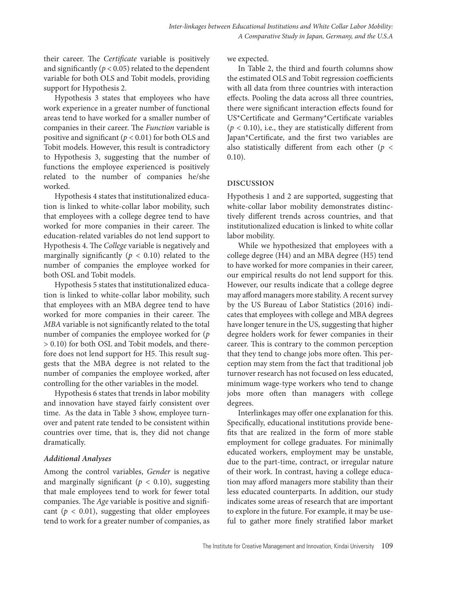their career. The *Certificate* variable is positively and significantly  $(p < 0.05)$  related to the dependent variable for both OLS and Tobit models, providing support for Hypothesis 2.

Hypothesis 3 states that employees who have work experience in a greater number of functional areas tend to have worked for a smaller number of companies in their career. The *Function* variable is positive and significant ( $p < 0.01$ ) for both OLS and Tobit models. However, this result is contradictory to Hypothesis 3, suggesting that the number of functions the employee experienced is positively related to the number of companies he/she worked.

Hypothesis 4 states that institutionalized education is linked to white-collar labor mobility, such that employees with a college degree tend to have worked for more companies in their career. The education-related variables do not lend support to Hypothesis 4. The *College* variable is negatively and marginally significantly  $(p < 0.10)$  related to the number of companies the employee worked for both OSL and Tobit models.

Hypothesis 5 states that institutionalized education is linked to white-collar labor mobility, such that employees with an MBA degree tend to have worked for more companies in their career. The *MBA* variable is not significantly related to the total number of companies the employee worked for (*p* > 0.10) for both OSL and Tobit models, and therefore does not lend support for H5. This result suggests that the MBA degree is not related to the number of companies the employee worked, after controlling for the other variables in the model.

Hypothesis 6 states that trends in labor mobility and innovation have stayed fairly consistent over time. As the data in Table 3 show, employee turnover and patent rate tended to be consistent within countries over time, that is, they did not change dramatically.

#### *Additional Analyses*

Among the control variables, *Gender* is negative and marginally significant ( $p < 0.10$ ), suggesting that male employees tend to work for fewer total companies. The *Age* variable is positive and significant ( $p < 0.01$ ), suggesting that older employees tend to work for a greater number of companies, as we expected.

In Table 2, the third and fourth columns show the estimated OLS and Tobit regression coefficients with all data from three countries with interaction effects. Pooling the data across all three countries, there were significant interaction effects found for US\*Certificate and Germany\*Certificate variables  $(p < 0.10)$ , i.e., they are statistically different from Japan\*Certificate, and the first two variables are also statistically different from each other (*p* < 0.10).

#### **DISCUSSION**

Hypothesis 1 and 2 are supported, suggesting that white-collar labor mobility demonstrates distinctively different trends across countries, and that institutionalized education is linked to white collar labor mobility.

While we hypothesized that employees with a college degree (H4) and an MBA degree (H5) tend to have worked for more companies in their career, our empirical results do not lend support for this. However, our results indicate that a college degree may afford managers more stability. A recent survey by the US Bureau of Labor Statistics (2016) indicates that employees with college and MBA degrees have longer tenure in the US, suggesting that higher degree holders work for fewer companies in their career. This is contrary to the common perception that they tend to change jobs more often. This perception may stem from the fact that traditional job turnover research has not focused on less educated, minimum wage-type workers who tend to change jobs more often than managers with college degrees.

Interlinkages may offer one explanation for this. Specifically, educational institutions provide benefits that are realized in the form of more stable employment for college graduates. For minimally educated workers, employment may be unstable, due to the part-time, contract, or irregular nature of their work. In contrast, having a college education may afford managers more stability than their less educated counterparts. In addition, our study indicates some areas of research that are important to explore in the future. For example, it may be useful to gather more finely stratified labor market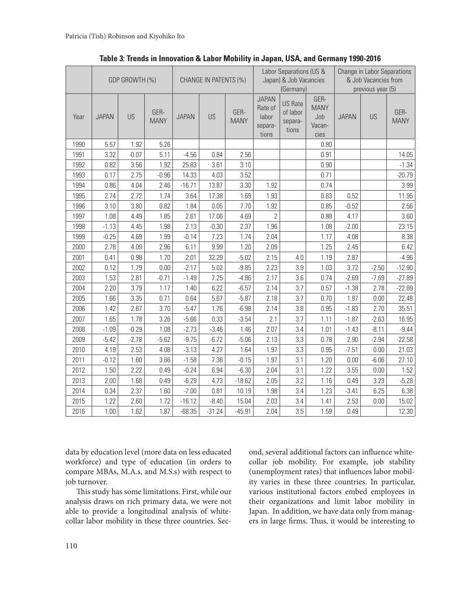|      | GDP GROWTH (%) |         |                     | CHANGE IN PATENTS (%) |          |                     |                                                      | Labor Separations (US &<br>Japan) & Job Vacancies<br>(Germany) |                                              | Change in Labor Separations<br>& Job Vacancies from<br>previous year (5) |         |                     |  |
|------|----------------|---------|---------------------|-----------------------|----------|---------------------|------------------------------------------------------|----------------------------------------------------------------|----------------------------------------------|--------------------------------------------------------------------------|---------|---------------------|--|
| Year | <b>JAPAN</b>   | US      | GER-<br><b>MANY</b> | <b>JAPAN</b>          | US       | GER-<br><b>MANY</b> | <b>JAPAN</b><br>Rate of<br>labor<br>separa-<br>tions | <b>US Rate</b><br>of labor<br>separa-<br>tions                 | GER-<br><b>MANY</b><br>Job<br>Vacan-<br>cies | <b>JAPAN</b>                                                             | US      | GER-<br><b>MANY</b> |  |
| 1990 | 5.57           | 1.92    | 5.26                |                       |          |                     |                                                      |                                                                | 0.80                                         |                                                                          |         |                     |  |
| 1991 | 3.32           | $-0.07$ | 5.11                | $-4.56$               | 0.84     | 2.56                |                                                      |                                                                | 0.91                                         |                                                                          |         | 14.05               |  |
| 1992 | 0.82           | 3.56    | 1.92                | 25.83                 | 3.61     | 3.10                |                                                      |                                                                | 0.90                                         |                                                                          |         | $-1.34$             |  |
| 1993 | 0.17           | 2.75    | $-0.96$             | 14.33                 | 4.03     | 3.52                |                                                      |                                                                | 0.71                                         |                                                                          |         | $-20.79$            |  |
| 1994 | 0.86           | 4.04    | 2.46                | $-16.71$              | 13.87    | 3.30                | 1.92                                                 |                                                                | 0.74                                         |                                                                          |         | 3.99                |  |
| 1995 | 2.74           | 2.72    | 1.74                | 3.64                  | 17.38    | 1.69                | 1.93                                                 |                                                                | 0.83                                         | 0.52                                                                     |         | 11.95               |  |
| 1996 | 3.10           | 3.80    | 0.82                | 1.84                  | 0.05     | 7.70                | 1.92                                                 |                                                                | 0.85                                         | $-0.52$                                                                  |         | 2.56                |  |
| 1997 | 1.08           | 4.49    | 1.85                | 2.61                  | 17.06    | 4.69                | $\overline{2}$                                       |                                                                | 0.88                                         | 4.17                                                                     |         | 3.60                |  |
| 1998 | $-1.13$        | 4.45    | 1.98                | 2.13                  | $-0.30$  | 2.37                | 1.96                                                 |                                                                | 1.08                                         | $-2.00$                                                                  |         | 23.15               |  |
| 1999 | $-0.25$        | 4.69    | 1.99                | $-0.14$               | 7.23     | 1.74                | 2.04                                                 |                                                                | 1.17                                         | 4.08                                                                     |         | 8.38                |  |
| 2000 | 2.78           | 4.09    | 2.96                | 6.11                  | 9.99     | 1.20                | 2.09                                                 |                                                                | 1.25                                         | 2.45                                                                     |         | 6.42                |  |
| 2001 | 0.41           | 0.98    | 1.70                | 2.01                  | 32.29    | $-5.02$             | 2.15                                                 | 4.0                                                            | 1.19                                         | 2.87                                                                     |         | $-4.96$             |  |
| 2002 | 0.12           | 1.79    | 0.00                | $-2.17$               | 5.02     | $-9.85$             | 2.23                                                 | 3.9                                                            | 1.03                                         | 3.72                                                                     | $-2.50$ | $-12.90$            |  |
| 2003 | 1.53           | 2.81    | $-0.71$             | $-1.49$               | 7.25     | $-4.86$             | 2.17                                                 | 3.6                                                            | 0.74                                         | $-2.69$                                                                  | $-7.69$ | $-27.89$            |  |
| 2004 | 2.20           | 3.79    | 1.17                | 1.40                  | 6.22     | $-6.57$             | 2.14                                                 | 3.7                                                            | 0.57                                         | $-1.38$                                                                  | 2.78    | $-22.89$            |  |
| 2005 | 1.66           | 3.35    | 0.71                | 0.64                  | 5.67     | $-5.87$             | 2.18                                                 | 3.7                                                            | 0.70                                         | 1.87                                                                     | 0.00    | 22.48               |  |
| 2006 | 1.42           | 2.67    | 3.70                | $-5.47$               | 1.76     | $-6.98$             | 2.14                                                 | 3.8                                                            | 0.95                                         | $-1.83$                                                                  | 2.70    | 35.51               |  |
| 2007 | 1.65           | 1.78    | 3.26                | $-5.66$               | 0.33     | $-3.54$             | 2.1                                                  | 3.7                                                            | 1.11                                         | $-1.87$                                                                  | $-2.63$ | 16.95               |  |
| 2008 | $-1.09$        | $-0.29$ | 1.08                | $-2.73$               | $-3.46$  | 1.46                | 2.07                                                 | 3.4                                                            | 1.01                                         | $-1.43$                                                                  | $-8.11$ | $-9.44$             |  |
| 2009 | $-5.42$        | $-2.78$ | $-5.62$             | $-9.75$               | $-6.72$  | $-5.06$             | 2.13                                                 | 3.3                                                            | 0.78                                         | 2.90                                                                     | $-2.94$ | $-22.58$            |  |
| 2010 | 4.19           | 2.53    | 4.08                | $-3.13$               | 4.27     | 1.64                | 1.97                                                 | 3.3                                                            | 0.95                                         | $-7.51$                                                                  | 0.00    | 21.03               |  |
| 2011 | $-0.12$        | 1.60    | 3.66                | $-1.58$               | 7.38     | $-0.15$             | 1.97                                                 | 3.1                                                            | 1.20                                         | 0.00                                                                     | $-6.06$ | 27.10               |  |
| 2012 | 1.50           | 2.22    | 0.49                | $-0.24$               | 6.94     | $-6.30$             | 2.04                                                 | 3.1                                                            | 1.22                                         | 3.55                                                                     | 0.00    | 1.52                |  |
| 2013 | 2.00           | 1.68    | 0.49                | $-6.29$               | 4.73     | $-18.62$            | 2.05                                                 | 3.2                                                            | 1.16                                         | 0.49                                                                     | 3.23    | $-5.28$             |  |
| 2014 | 0.34           | 2.37    | 1.60                | $-7.00$               | 0.81     | 10.19               | 1.98                                                 | 3.4                                                            | 1.23                                         | $-3.41$                                                                  | 6.25    | 6.38                |  |
| 2015 | 1.22           | 2.60    | 1.72                | $-16.12$              | $-8.40$  | 15.04               | 2.03                                                 | 3.4                                                            | 1.41                                         | 2.53                                                                     | 0.00    | 15.02               |  |
| 2016 | 1.00           | 1.62    | 1.87                | $-68.35$              | $-31.24$ | $-45.91$            | 2.04                                                 | 3.5                                                            | 1.59                                         | 0.49                                                                     |         | 12.30               |  |

**Table 3: Trends in Innovation & Labor Mobility in Japan, USA, and Germany 1990-2016**

data by education level (more data on less educated workforce) and type of education (in orders to compare MBAs, M.A.s, and M.S.s) with respect to job turnover.

This study has some limitations. First, while our analysis draws on rich primary data, we were not able to provide a longitudinal analysis of whitecollar labor mobility in these three countries. Second, several additional factors can influence whitecollar job mobility. For example, job stability (unemployment rates) that influences labor mobility varies in these three countries. In particular, various institutional factors embed employees in their organizations and limit labor mobility in Japan. In addition, we have data only from managers in large firms. Thus, it would be interesting to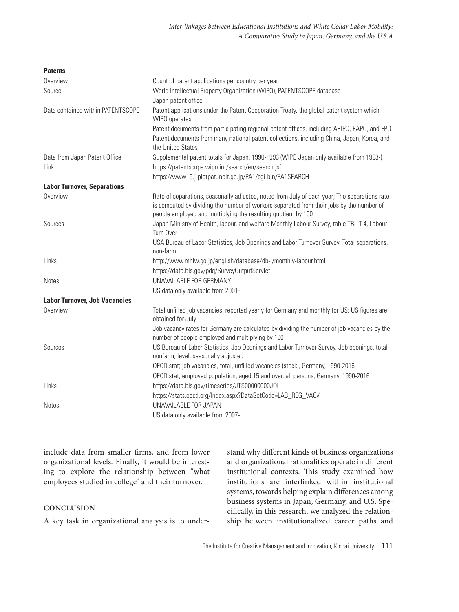| <b>Patents</b>                       |                                                                                                                                                                                                                                                           |
|--------------------------------------|-----------------------------------------------------------------------------------------------------------------------------------------------------------------------------------------------------------------------------------------------------------|
| Overview                             | Count of patent applications per country per year                                                                                                                                                                                                         |
| Source                               | World Intellectual Property Organization (WIPO), PATENTSCOPE database                                                                                                                                                                                     |
|                                      | Japan patent office                                                                                                                                                                                                                                       |
| Data contained within PATENTSCOPE    | Patent applications under the Patent Cooperation Treaty, the global patent system which<br>WIPO operates                                                                                                                                                  |
|                                      | Patent documents from participating regional patent offices, including ARIPO, EAPO, and EPO                                                                                                                                                               |
|                                      | Patent documents from many national patent collections, including China, Japan, Korea, and<br>the United States                                                                                                                                           |
| Data from Japan Patent Office        | Supplemental patent totals for Japan, 1990-1993 (WIPO Japan only available from 1993-)                                                                                                                                                                    |
| Link                                 | https://patentscope.wipo.int/search/en/search.jsf                                                                                                                                                                                                         |
|                                      | https://www19.j-platpat.inpit.go.jp/PA1/cgi-bin/PA1SEARCH                                                                                                                                                                                                 |
| <b>Labor Turnover, Separations</b>   |                                                                                                                                                                                                                                                           |
| Overview                             | Rate of separations, seasonally adjusted, noted from July of each year; The separations rate<br>is computed by dividing the number of workers separated from their jobs by the number of<br>people employed and multiplying the resulting quotient by 100 |
| Sources                              | Japan Ministry of Health, labour, and welfare Monthly Labour Survey, table TBL-T-4, Labour                                                                                                                                                                |
|                                      | Turn Over                                                                                                                                                                                                                                                 |
|                                      | USA Bureau of Labor Statistics, Job Openings and Labor Turnover Survey, Total separations,                                                                                                                                                                |
|                                      | non-farm                                                                                                                                                                                                                                                  |
| Links                                | http://www.mhlw.go.jp/english/database/db-l/monthly-labour.html                                                                                                                                                                                           |
|                                      | https://data.bls.gov/pdg/SurveyOutputServlet                                                                                                                                                                                                              |
| <b>Notes</b>                         | UNAVAILABLE FOR GERMANY                                                                                                                                                                                                                                   |
|                                      | US data only available from 2001-                                                                                                                                                                                                                         |
| <b>Labor Turnover, Job Vacancies</b> |                                                                                                                                                                                                                                                           |
| Overview                             | Total unfilled job vacancies, reported yearly for Germany and monthly for US; US figures are<br>obtained for July                                                                                                                                         |
|                                      | Job vacancy rates for Germany are calculated by dividing the number of job vacancies by the<br>number of people employed and multiplying by 100                                                                                                           |
| Sources                              | US Bureau of Labor Statistics, Job Openings and Labor Turnover Survey, Job openings, total<br>nonfarm, level, seasonally adjusted                                                                                                                         |
|                                      | OECD.stat; job vacancies, total, unfilled vacancies (stock), Germany, 1990-2016                                                                                                                                                                           |
|                                      | OECD.stat; employed population, aged 15 and over, all persons, Germany, 1990-2016                                                                                                                                                                         |
| Links                                | https://data.bls.gov/timeseries/JTS00000000JOL                                                                                                                                                                                                            |
|                                      | https://stats.oecd.org/Index.aspx?DataSetCode=LAB_REG_VAC#                                                                                                                                                                                                |
| <b>Notes</b>                         | UNAVAILABLE FOR JAPAN                                                                                                                                                                                                                                     |
|                                      | US data only available from 2007-                                                                                                                                                                                                                         |

include data from smaller firms, and from lower organizational levels. Finally, it would be interesting to explore the relationship between "what employees studied in college" and their turnover.

#### **CONCLUSION**

A key task in organizational analysis is to under-

stand why different kinds of business organizations and organizational rationalities operate in different institutional contexts. This study examined how institutions are interlinked within institutional systems, towards helping explain differences among business systems in Japan, Germany, and U.S. Specifically, in this research, we analyzed the relationship between institutionalized career paths and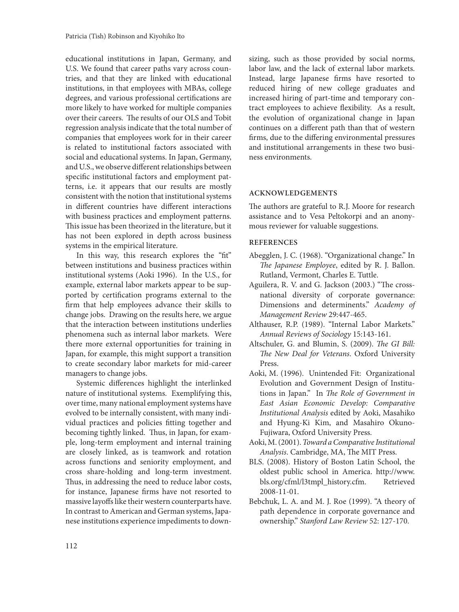educational institutions in Japan, Germany, and U.S. We found that career paths vary across countries, and that they are linked with educational institutions, in that employees with MBAs, college degrees, and various professional certifications are more likely to have worked for multiple companies over their careers. The results of our OLS and Tobit regression analysis indicate that the total number of companies that employees work for in their career is related to institutional factors associated with social and educational systems. In Japan, Germany, and U.S., we observe different relationships between specific institutional factors and employment patterns, i.e. it appears that our results are mostly consistent with the notion that institutional systems in different countries have different interactions with business practices and employment patterns. This issue has been theorized in the literature, but it has not been explored in depth across business systems in the empirical literature.

In this way, this research explores the "fit" between institutions and business practices within institutional systems (Aoki 1996). In the U.S., for example, external labor markets appear to be supported by certification programs external to the firm that help employees advance their skills to change jobs. Drawing on the results here, we argue that the interaction between institutions underlies phenomena such as internal labor markets. Were there more external opportunities for training in Japan, for example, this might support a transition to create secondary labor markets for mid-career managers to change jobs.

Systemic differences highlight the interlinked nature of institutional systems. Exemplifying this, over time, many national employment systems have evolved to be internally consistent, with many individual practices and policies fitting together and becoming tightly linked. Thus, in Japan, for example, long-term employment and internal training are closely linked, as is teamwork and rotation across functions and seniority employment, and cross share-holding and long-term investment. Thus, in addressing the need to reduce labor costs, for instance, Japanese firms have not resorted to massive layoffs like their western counterparts have. In contrast to American and German systems, Japanese institutions experience impediments to downsizing, such as those provided by social norms, labor law, and the lack of external labor markets. Instead, large Japanese firms have resorted to reduced hiring of new college graduates and increased hiring of part-time and temporary contract employees to achieve flexibility. As a result, the evolution of organizational change in Japan continues on a different path than that of western firms, due to the differing environmental pressures and institutional arrangements in these two business environments.

#### **ACKNOWLEDGEMENTS**

The authors are grateful to R.J. Moore for research assistance and to Vesa Peltokorpi and an anonymous reviewer for valuable suggestions.

#### **REFERENCES**

- Abegglen, J. C. (1968). "Organizational change." In *The Japanese Employee*, edited by R. J. Ballon. Rutland, Vermont, Charles E. Tuttle.
- Aguilera, R. V. and G. Jackson (2003.) "The crossnational diversity of corporate governance: Dimensions and determinents." *Academy of Management Review* 29:447-465.
- Althauser, R.P. (1989). "Internal Labor Markets." *Annual Reviews of Sociology* 15:143-161.
- Altschuler, G. and Blumin, S. (2009). *The GI Bill: The New Deal for Veterans*. Oxford University Press.
- Aoki, M. (1996). Unintended Fit: Organizational Evolution and Government Design of Institutions in Japan." In *The Role of Government in East Asian Economic Develop: Comparative Institutional Analysis* edited by Aoki, Masahiko and Hyung-Ki Kim, and Masahiro Okuno-Fujiwara, Oxford University Press.
- Aoki, M. (2001). *Toward a Comparative Institutional Analysis*. Cambridge, MA, The MIT Press.
- BLS. (2008). History of Boston Latin School, the oldest public school in America. http://www. bls.org/cfml/l3tmpl\_history.cfm. Retrieved 2008-11-01.
- Bebchuk, L. A. and M. J. Roe (1999). "A theory of path dependence in corporate governance and ownership." *Stanford Law Review* 52: 127-170.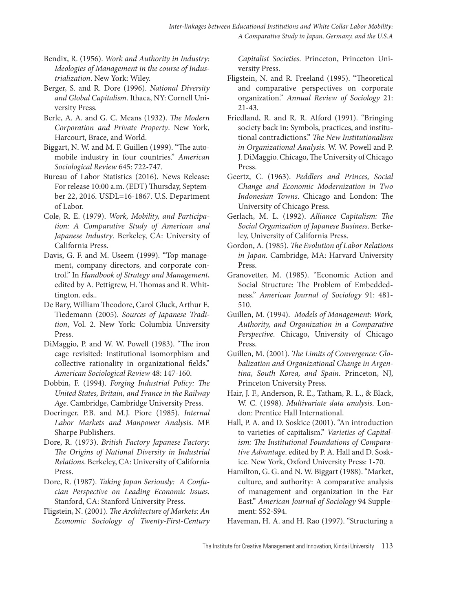- Bendix, R. (1956). *Work and Authority in Industry: Ideologies of Management in the course of Industrialization*. New York: Wiley.
- Berger, S. and R. Dore (1996). *National Diversity and Global Capitalism*. Ithaca, NY: Cornell University Press.
- Berle, A. A. and G. C. Means (1932). *The Modern Corporation and Private Property*. New York, Harcourt, Brace, and World.
- Biggart, N. W. and M. F. Guillen (1999). "The automobile industry in four countries." *American Sociological Review* 645: 722-747.
- Bureau of Labor Statistics (2016). News Release: For release 10:00 a.m. (EDT) Thursday, September 22, 2016. USDL=16-1867. U.S. Department of Labor.
- Cole, R. E. (1979). *Work, Mobility, and Participation: A Comparative Study of American and Japanese Industry*. Berkeley, CA: University of California Press.
- Davis, G. F. and M. Useem (1999). "Top management, company directors, and corporate control." In *Handbook of Strategy and Management*, edited by A. Pettigrew, H. Thomas and R. Whittington. eds..
- De Bary, William Theodore, Carol Gluck, Arthur E. Tiedemann (2005). *Sources of Japanese Tradition*, Vol. 2. New York: Columbia University Press.
- DiMaggio, P. and W. W. Powell (1983). "The iron cage revisited: Institutional isomorphism and collective rationality in organizational fields." *American Sociological Review* 48: 147-160.
- Dobbin, F. (1994). *Forging Industrial Policy: The United States, Britain, and France in the Railway Age*. Cambridge, Cambridge University Press.
- Doeringer, P.B. and M.J. Piore (1985). *Internal Labor Markets and Manpower Analysis*. ME Sharpe Publishers.
- Dore, R. (1973). *British Factory Japanese Factory: The Origins of National Diversity in Industrial Relations*. Berkeley, CA: University of California Press.
- Dore, R. (1987). *Taking Japan Seriously: A Confucian Perspective on Leading Economic Issues*. Stanford, CA: Stanford University Press.
- Fligstein, N. (2001). *The Architecture of Markets: An Economic Sociology of Twenty-First-Century*

*Capitalist Societies*. Princeton, Princeton University Press.

- Fligstein, N. and R. Freeland (1995). "Theoretical and comparative perspectives on corporate organization." *Annual Review of Sociology* 21: 21-43.
- Friedland, R. and R. R. Alford (1991). "Bringing society back in: Symbols, practices, and institutional contradictions." *The New Institutionalism in Organizational Analysis*. W. W. Powell and P. J. DiMaggio. Chicago, The University of Chicago Press.
- Geertz, C. (1963). *Peddlers and Princes, Social Change and Economic Modernization in Two Indonesian Towns*. Chicago and London: The University of Chicago Press.
- Gerlach, M. L. (1992). *Alliance Capitalism: The Social Organization of Japanese Business*. Berkeley, University of California Press.
- Gordon, A. (1985). *The Evolution of Labor Relations in Japan*. Cambridge, MA: Harvard University Press.
- Granovetter, M. (1985). "Economic Action and Social Structure: The Problem of Embeddedness." *American Journal of Sociology* 91: 481- 510.
- Guillen, M. (1994). *Models of Management: Work, Authority, and Organization in a Comparative Perspective*. Chicago, University of Chicago Press.
- Guillen, M. (2001). *The Limits of Convergence: Globalization and Organizational Change in Argentina, South Korea, and Spain*. Princeton, NJ, Princeton University Press.
- Hair, J. F., Anderson, R. E., Tatham, R. L., & Black, W. C. (1998). *Multivariate data analysis*. London: Prentice Hall International.
- Hall, P. A. and D. Soskice (2001). "An introduction to varieties of capitalism." *Varieties of Capitalism: The Institutional Foundations of Comparative Advantage*. edited by P. A. Hall and D. Soskice. New York, Oxford University Press: 1-70.
- Hamilton, G. G. and N. W. Biggart (1988). "Market, culture, and authority: A comparative analysis of management and organization in the Far East." *American Journal of Sociology* 94 Supplement: S52-S94.
- Haveman, H. A. and H. Rao (1997). "Structuring a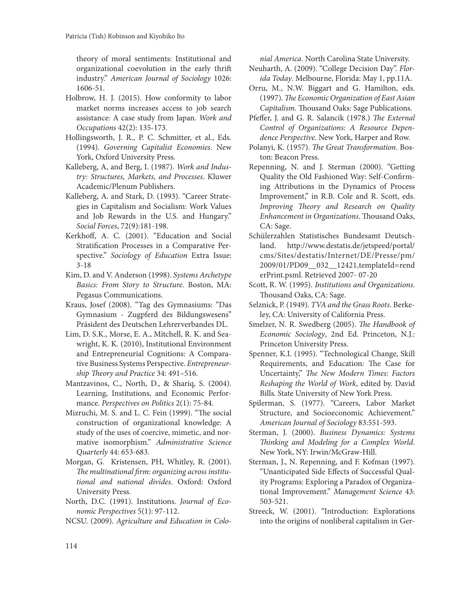theory of moral sentiments: Institutional and organizational coevolution in the early thrift industry." *American Journal of Sociology* 1026: 1606-51.

- Holbrow, H. J. (2015). How conformity to labor market norms increases access to job search assistance: A case study from Japan. *Work and Occupations* 42(2): 135-173.
- Hollingsworth, J. R., P. C. Schmitter, et al., Eds. (1994). *Governing Capitalist Economies*. New York, Oxford University Press.
- Kalleberg, A, and Berg, I. (1987). *Work and Industry: Structures, Markets, and Processes*. Kluwer Academic/Plenum Publishers.
- Kalleberg, A. and Stark, D. (1993). "Career Strategies in Capitalism and Socialism: Work Values and Job Rewards in the U.S. and Hungary." *Social Forces*, 72(9):181-198.
- Kerkhoff, A. C. (2001). "Education and Social Stratification Processes in a Comparative Perspective." *Sociology of Education* Extra Issue: 3-18
- Kim, D. and V. Anderson (1998). *Systems Archetype Basics: From Story to Structure*. Boston, MA: Pegasus Communications.
- Kraus, Josef (2008). "Tag des Gymnasiums: "Das Gymnasium - Zugpferd des Bildungswesens" Präsident des Deutschen Lehrerverbandes DL.
- Lim, D. S.K., Morse, E. A., Mitchell, R. K. and Seawright, K. K. (2010), Institutional Environment and Entrepreneurial Cognitions: A Comparative Business Systems Perspective. *Entrepreneurship Theory and Practice* 34: 491–516.
- Mantzavinos, C., North, D., & Shariq, S. (2004). Learning, Institutions, and Economic Performance. *Perspectives on Politics* 2(1): 75-84.
- Mizruchi, M. S. and L. C. Fein (1999). "The social construction of organizational knowledge: A study of the uses of coercive, mimetic, and normative isomorphism." *Administrative Science Quarterly* 44: 653-683.
- Morgan, G. Kristensen, PH, Whitley, R. (2001). *The multinational firm: organizing across institutional and national divides*. Oxford: Oxford University Press.
- North, D.C. (1991). Institutions. *Journal of Economic Perspectives* 5(1): 97-112.
- NCSU. (2009). *Agriculture and Education in Colo-*

*nial America*. North Carolina State University.

- Neuharth, A. (2009). "College Decision Day". *Florida Today*. Melbourne, Florida: May 1, pp.11A.
- Orru, M., N.W. Biggart and G. Hamilton, eds. (1997). *The Economic Organization of East Asian Capitalism*. Thousand Oaks: Sage Publications.
- Pfeffer, J. and G. R. Salancik (1978.) *The External Control of Organizations: A Resource Dependence Perspective*. New York, Harper and Row.
- Polanyi, K. (1957). *The Great Transformation*. Boston: Beacon Press.
- Repenning, N. and J. Sterman (2000). "Getting Quality the Old Fashioned Way: Self-Confirming Attributions in the Dynamics of Process Improvement," in R.B. Cole and R. Scott, eds. *Improving Theory and Research on Quality Enhancement in Organizations*. Thousand Oaks, CA: Sage.
- Schülerzahlen Statistisches Bundesamt Deutschland. http://www.destatis.de/jetspeed/portal/ cms/Sites/destatis/Internet/DE/Presse/pm/ 2009/01/PD09\_\_032\_\_12421,templateId=rend erPrint.psml. Retrieved 2007- 07-20
- Scott, R. W. (1995). *Institutions and Organizations*. Thousand Oaks, CA: Sage.
- Selznick, P. (1949). *TVA and the Grass Roots*. Berkeley, CA: University of California Press.
- Smelzer, N. R. Swedberg (2005). *The Handbook of Economic Sociology*, 2nd Ed. Princeton, N.J.: Princeton University Press.
- Spenner, K.I. (1995). "Technological Change, Skill Requirements, and Education: The Case for Uncertainty," *The New Modern Times: Factors Reshaping the World of Work*, edited by. David Bills. State University of New York Press.
- Spilerman, S. (1977). "Careers, Labor Market Structure, and Socioeconomic Achievement." *American Journal of Sociology* 83:551-593.
- Sterman, J. (2000). *Business Dynamics: Systems Thinking and Modeling for a Complex World*. New York, NY: Irwin/McGraw-Hill.
- Sterman, J., N. Repenning, and F. Kofman (1997). "Unanticipated Side Effects of Successful Quality Programs: Exploring a Paradox of Organizational Improvement." *Management Science* 43: 503-521.
- Streeck, W. (2001). "Introduction: Explorations into the origins of nonliberal capitalism in Ger-